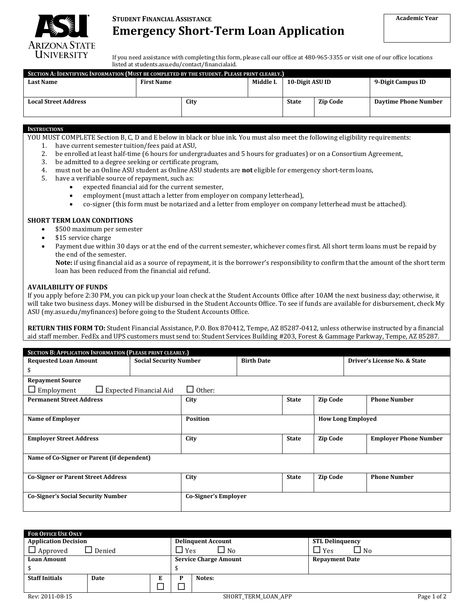

# **STUDENT FINANCIAL ASSISTANCE Emergency Short-Term Loan Application**

If you need assistance with completing this form, please call our office at 480-965-3355 or visit one of our office locations listed a[t students.asu.edu/contact/financialaid.](http://students.asu.edu/contact/financialaid)

| SECTION A: IDENTIFYING INFORMATION (MUST BE COMPLETED BY THE STUDENT. PLEASE PRINT CLEARLY.) |                   |      |           |                 |                 |                             |
|----------------------------------------------------------------------------------------------|-------------------|------|-----------|-----------------|-----------------|-----------------------------|
| <b>Last Name</b>                                                                             | <b>First Name</b> |      | Middle I. | 10-Digit ASU ID |                 | 9-Digit Campus ID           |
|                                                                                              |                   |      |           |                 |                 |                             |
| <b>Local Street Address</b>                                                                  |                   | City |           | <b>State</b>    | <b>Zip Code</b> | <b>Daytime Phone Number</b> |
|                                                                                              |                   |      |           |                 |                 |                             |

## **INSTRUCTIONS**

- YOU MUST COMPLETE Section B, C, D and E below in black or blue ink. You must also meet the following eligibility requirements:
	- 1. have current semester tuition/fees paid at ASU,<br>2. be enrolled at least half-time (6 hours for under
	- 2. be enrolled at least half-time (6 hours for undergraduates and 5 hours for graduates) or on a Consortium Agreement,<br>3. be admitted to a degree seeking or certificate program,
	- 3. be admitted to a degree seeking or certificate program,<br>4. must not be an Online ASU student as Online ASU stude
	- 4. must not be an Online ASU student as Online ASU students are **not** eligible for emergency short-term loans,
	- have a verifiable source of repayment, such as:
		- expected financial aid for the current semester,<br>• employment (must attach a letter from employe
		- employment (must attach a letter from employer on company letterhead),<br>• co-signer (this form must be notarized and a letter from employer on comp
		- co-signer (this form must be notarized and a letter from employer on company letterhead must be attached).

#### **SHORT TERM LOAN CONDITIONS**

- \$500 maximum per semester<br>• \$15 service charge
- \$15 service charge
- Payment due within 30 days or at the end of the current semester, whichever comes first. All short term loans must be repaid by the end of the semester.

**Note:** if using financial aid as a source of repayment, it is the borrower's responsibility to confirm that the amount of the short term loan has been reduced from the financial aid refund.

### **AVAILABILITY OF FUNDS**

If you apply before 2:30 PM, you can pick up your loan check at the Student Accounts Office after 10AM the next business day; otherwise, it will take two business days. Money will be disbursed in the Student Accounts Office. To see if funds are available for disbursement, check My ASU [\(my.asu.edu/myfinances\)](http://my.asu.edu/myfinances) before going to the Student Accounts Office.

**RETURN THIS FORM TO:** Student Financial Assistance, P.O. Box 870412, Tempe, AZ 85287-0412, unless otherwise instructed by a financial aid staff member. FedEx and UPS customers must send to: Student Services Building #203, Forest & Gammage Parkway, Tempe, AZ 85287.

| <b>SECTION B: APPLICATION INFORMATION (PLEASE PRINT CLEARLY.)</b>      |                               |                 |                   |                          |                 |                              |                              |
|------------------------------------------------------------------------|-------------------------------|-----------------|-------------------|--------------------------|-----------------|------------------------------|------------------------------|
| <b>Requested Loan Amount</b>                                           | <b>Social Security Number</b> |                 | <b>Birth Date</b> |                          |                 | Driver's License No. & State |                              |
| \$                                                                     |                               |                 |                   |                          |                 |                              |                              |
| <b>Repayment Source</b>                                                |                               |                 |                   |                          |                 |                              |                              |
| $\Box$ Employment<br>Other:<br>$\Box$ Expected Financial Aid<br>$\Box$ |                               |                 |                   |                          |                 |                              |                              |
| <b>Permanent Street Address</b>                                        |                               | City            |                   | <b>State</b>             | <b>Zip Code</b> |                              | <b>Phone Number</b>          |
|                                                                        |                               |                 |                   |                          |                 |                              |                              |
| <b>Name of Employer</b>                                                |                               | <b>Position</b> |                   | <b>How Long Employed</b> |                 |                              |                              |
|                                                                        |                               |                 |                   |                          |                 |                              |                              |
| <b>Employer Street Address</b>                                         |                               | City            |                   | <b>State</b>             | <b>Zip Code</b> |                              | <b>Employer Phone Number</b> |
|                                                                        |                               |                 |                   |                          |                 |                              |                              |
| Name of Co-Signer or Parent (if dependent)                             |                               |                 |                   |                          |                 |                              |                              |
|                                                                        |                               |                 |                   |                          |                 |                              |                              |
| <b>Co-Signer or Parent Street Address</b>                              |                               | City            |                   | <b>State</b>             | <b>Zip Code</b> |                              | <b>Phone Number</b>          |
|                                                                        |                               |                 |                   |                          |                 |                              |                              |
| <b>Co-Signer's Social Security Number</b>                              | Co-Signer's Employer          |                 |                   |                          |                 |                              |                              |
|                                                                        |                               |                 |                   |                          |                 |                              |                              |

| <b>FOR OFFICE USE ONLY</b>  |               |  |                                    |                              |                            |  |
|-----------------------------|---------------|--|------------------------------------|------------------------------|----------------------------|--|
| <b>Application Decision</b> |               |  | <b>Delinquent Account</b>          | <b>STL Delinguency</b>       |                            |  |
| $\Box$ Approved             | $\Box$ Denied |  | $\sqcup$ Yes                       | $\square$ No                 | $\square$ Yes<br>$\Box$ No |  |
| <b>Loan Amount</b>          |               |  |                                    | <b>Service Charge Amount</b> | <b>Repayment Date</b>      |  |
|                             |               |  |                                    |                              |                            |  |
| <b>Staff Initials</b>       | Date          |  |                                    | Notes:                       |                            |  |
|                             |               |  |                                    |                              |                            |  |
| Rev: 2011-08-15             |               |  | Page 1 of 2<br>SHORT TERM LOAN APP |                              |                            |  |